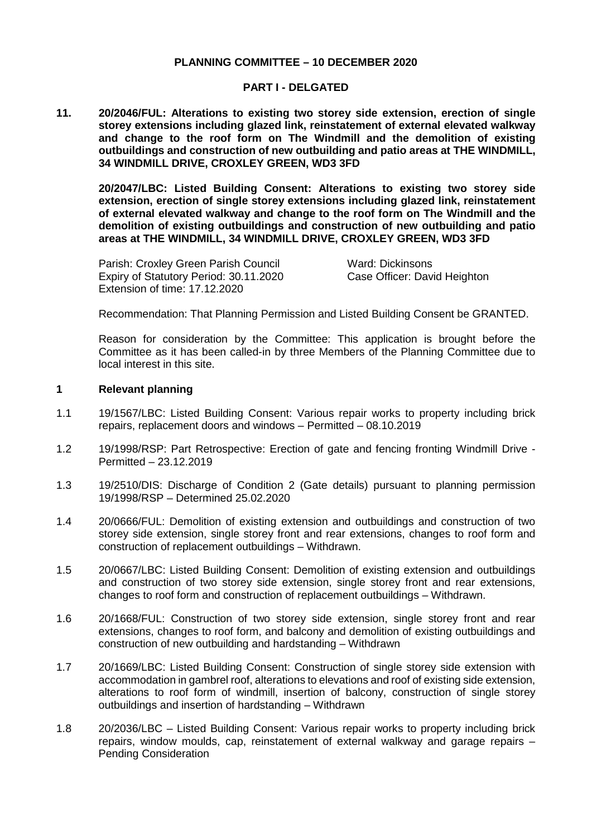### **PLANNING COMMITTEE – 10 DECEMBER 2020**

#### **PART I - DELGATED**

**11. 20/2046/FUL: Alterations to existing two storey side extension, erection of single storey extensions including glazed link, reinstatement of external elevated walkway and change to the roof form on The Windmill and the demolition of existing outbuildings and construction of new outbuilding and patio areas at THE WINDMILL, 34 WINDMILL DRIVE, CROXLEY GREEN, WD3 3FD**

**20/2047/LBC: Listed Building Consent: Alterations to existing two storey side extension, erection of single storey extensions including glazed link, reinstatement of external elevated walkway and change to the roof form on The Windmill and the demolition of existing outbuildings and construction of new outbuilding and patio areas at THE WINDMILL, 34 WINDMILL DRIVE, CROXLEY GREEN, WD3 3FD**

Parish: Croxley Green Parish Council Ward: Dickinsons Expiry of Statutory Period: 30.11.2020 Case Officer: David Heighton Extension of time: 17.12.2020

Recommendation: That Planning Permission and Listed Building Consent be GRANTED.

Reason for consideration by the Committee: This application is brought before the Committee as it has been called-in by three Members of the Planning Committee due to local interest in this site.

#### **1 Relevant planning**

- 1.1 19/1567/LBC: Listed Building Consent: Various repair works to property including brick repairs, replacement doors and windows – Permitted – 08.10.2019
- 1.2 19/1998/RSP: Part Retrospective: Erection of gate and fencing fronting Windmill Drive Permitted – 23.12.2019
- 1.3 19/2510/DIS: Discharge of Condition 2 (Gate details) pursuant to planning permission 19/1998/RSP – Determined 25.02.2020
- 1.4 20/0666/FUL: Demolition of existing extension and outbuildings and construction of two storey side extension, single storey front and rear extensions, changes to roof form and construction of replacement outbuildings – Withdrawn.
- 1.5 20/0667/LBC: Listed Building Consent: Demolition of existing extension and outbuildings and construction of two storey side extension, single storey front and rear extensions, changes to roof form and construction of replacement outbuildings – Withdrawn.
- 1.6 20/1668/FUL: Construction of two storey side extension, single storey front and rear extensions, changes to roof form, and balcony and demolition of existing outbuildings and construction of new outbuilding and hardstanding – Withdrawn
- 1.7 20/1669/LBC: Listed Building Consent: Construction of single storey side extension with accommodation in gambrel roof, alterations to elevations and roof of existing side extension, alterations to roof form of windmill, insertion of balcony, construction of single storey outbuildings and insertion of hardstanding – Withdrawn
- 1.8 20/2036/LBC Listed Building Consent: Various repair works to property including brick repairs, window moulds, cap, reinstatement of external walkway and garage repairs – Pending Consideration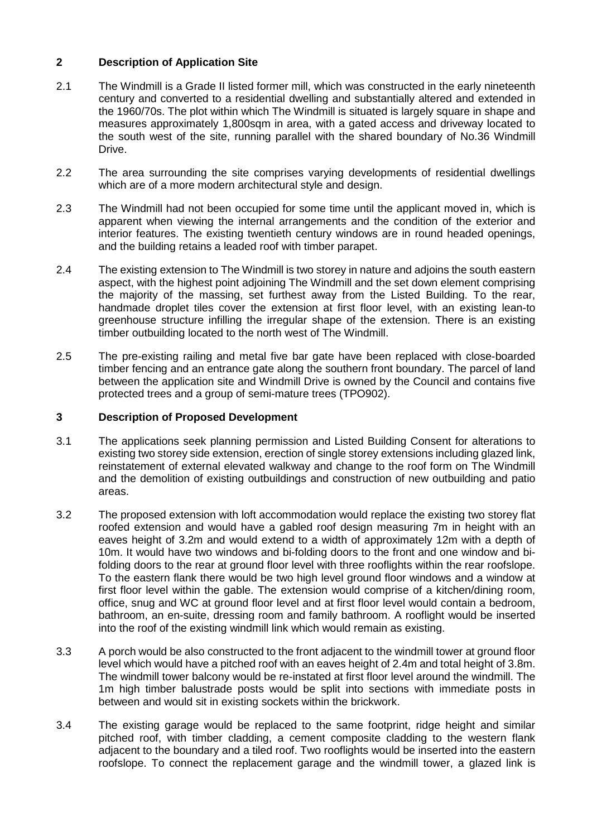# **2 Description of Application Site**

- 2.1 The Windmill is a Grade II listed former mill, which was constructed in the early nineteenth century and converted to a residential dwelling and substantially altered and extended in the 1960/70s. The plot within which The Windmill is situated is largely square in shape and measures approximately 1,800sqm in area, with a gated access and driveway located to the south west of the site, running parallel with the shared boundary of No.36 Windmill Drive.
- 2.2 The area surrounding the site comprises varying developments of residential dwellings which are of a more modern architectural style and design.
- 2.3 The Windmill had not been occupied for some time until the applicant moved in, which is apparent when viewing the internal arrangements and the condition of the exterior and interior features. The existing twentieth century windows are in round headed openings, and the building retains a leaded roof with timber parapet.
- 2.4 The existing extension to The Windmill is two storey in nature and adjoins the south eastern aspect, with the highest point adjoining The Windmill and the set down element comprising the majority of the massing, set furthest away from the Listed Building. To the rear, handmade droplet tiles cover the extension at first floor level, with an existing lean-to greenhouse structure infilling the irregular shape of the extension. There is an existing timber outbuilding located to the north west of The Windmill.
- 2.5 The pre-existing railing and metal five bar gate have been replaced with close-boarded timber fencing and an entrance gate along the southern front boundary. The parcel of land between the application site and Windmill Drive is owned by the Council and contains five protected trees and a group of semi-mature trees (TPO902).

# **3 Description of Proposed Development**

- 3.1 The applications seek planning permission and Listed Building Consent for alterations to existing two storey side extension, erection of single storey extensions including glazed link, reinstatement of external elevated walkway and change to the roof form on The Windmill and the demolition of existing outbuildings and construction of new outbuilding and patio areas.
- 3.2 The proposed extension with loft accommodation would replace the existing two storey flat roofed extension and would have a gabled roof design measuring 7m in height with an eaves height of 3.2m and would extend to a width of approximately 12m with a depth of 10m. It would have two windows and bi-folding doors to the front and one window and bifolding doors to the rear at ground floor level with three rooflights within the rear roofslope. To the eastern flank there would be two high level ground floor windows and a window at first floor level within the gable. The extension would comprise of a kitchen/dining room, office, snug and WC at ground floor level and at first floor level would contain a bedroom, bathroom, an en-suite, dressing room and family bathroom. A rooflight would be inserted into the roof of the existing windmill link which would remain as existing.
- 3.3 A porch would be also constructed to the front adjacent to the windmill tower at ground floor level which would have a pitched roof with an eaves height of 2.4m and total height of 3.8m. The windmill tower balcony would be re-instated at first floor level around the windmill. The 1m high timber balustrade posts would be split into sections with immediate posts in between and would sit in existing sockets within the brickwork.
- 3.4 The existing garage would be replaced to the same footprint, ridge height and similar pitched roof, with timber cladding, a cement composite cladding to the western flank adjacent to the boundary and a tiled roof. Two rooflights would be inserted into the eastern roofslope. To connect the replacement garage and the windmill tower, a glazed link is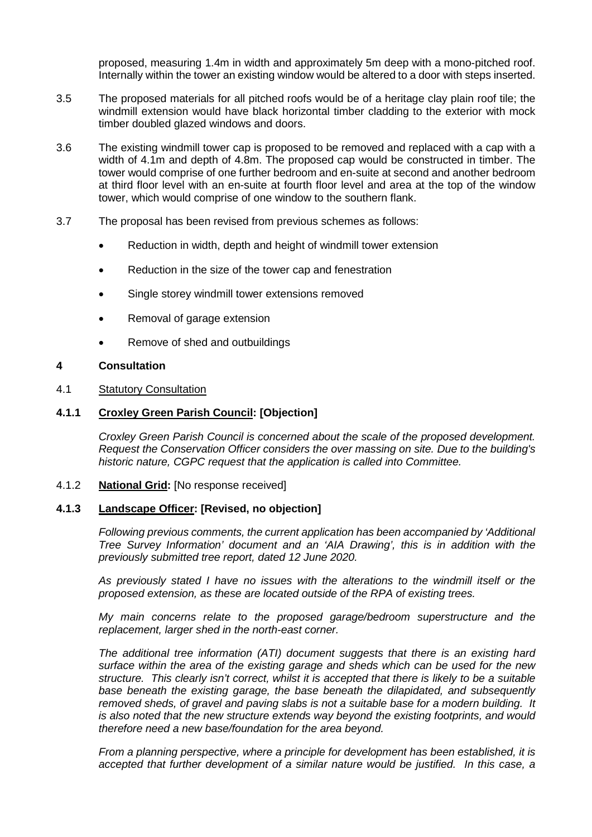proposed, measuring 1.4m in width and approximately 5m deep with a mono-pitched roof. Internally within the tower an existing window would be altered to a door with steps inserted.

- 3.5 The proposed materials for all pitched roofs would be of a heritage clay plain roof tile; the windmill extension would have black horizontal timber cladding to the exterior with mock timber doubled glazed windows and doors.
- 3.6 The existing windmill tower cap is proposed to be removed and replaced with a cap with a width of 4.1m and depth of 4.8m. The proposed cap would be constructed in timber. The tower would comprise of one further bedroom and en-suite at second and another bedroom at third floor level with an en-suite at fourth floor level and area at the top of the window tower, which would comprise of one window to the southern flank.
- 3.7 The proposal has been revised from previous schemes as follows:
	- Reduction in width, depth and height of windmill tower extension
	- Reduction in the size of the tower cap and fenestration
	- Single storey windmill tower extensions removed
	- Removal of garage extension
	- Remove of shed and outbuildings

### **4 Consultation**

### 4.1 Statutory Consultation

## **4.1.1 Croxley Green Parish Council: [Objection]**

*Croxley Green Parish Council is concerned about the scale of the proposed development. Request the Conservation Officer considers the over massing on site. Due to the building's historic nature, CGPC request that the application is called into Committee.*

### 4.1.2 **National Grid:** [No response received]

# **4.1.3 Landscape Officer: [Revised, no objection]**

*Following previous comments, the current application has been accompanied by 'Additional Tree Survey Information' document and an 'AIA Drawing', this is in addition with the previously submitted tree report, dated 12 June 2020.*

*As previously stated I have no issues with the alterations to the windmill itself or the proposed extension, as these are located outside of the RPA of existing trees.*

*My main concerns relate to the proposed garage/bedroom superstructure and the replacement, larger shed in the north-east corner.* 

*The additional tree information (ATI) document suggests that there is an existing hard surface within the area of the existing garage and sheds which can be used for the new structure. This clearly isn't correct, whilst it is accepted that there is likely to be a suitable base beneath the existing garage, the base beneath the dilapidated, and subsequently removed sheds, of gravel and paving slabs is not a suitable base for a modern building. It is also noted that the new structure extends way beyond the existing footprints, and would therefore need a new base/foundation for the area beyond.* 

*From a planning perspective, where a principle for development has been established, it is accepted that further development of a similar nature would be justified. In this case, a*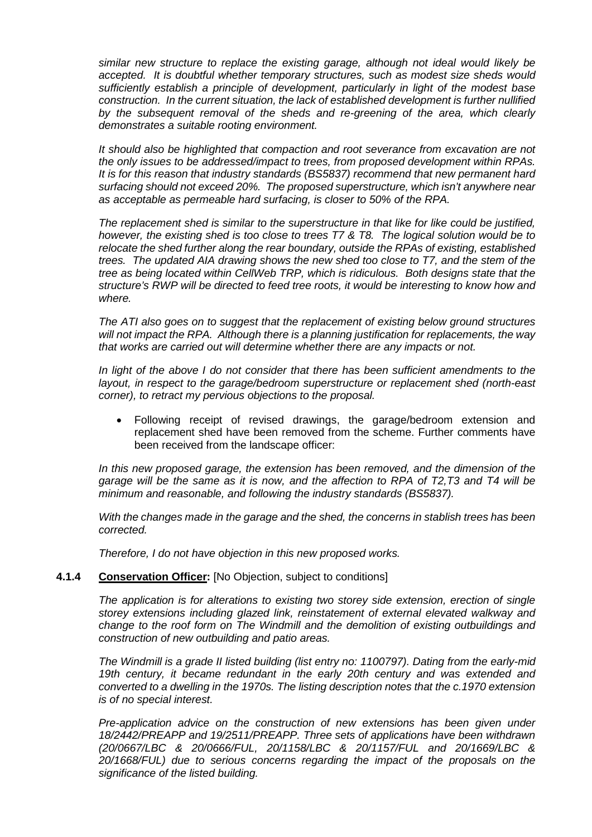*similar new structure to replace the existing garage, although not ideal would likely be accepted. It is doubtful whether temporary structures, such as modest size sheds would sufficiently establish a principle of development, particularly in light of the modest base construction. In the current situation, the lack of established development is further nullified by the subsequent removal of the sheds and re-greening of the area, which clearly demonstrates a suitable rooting environment.* 

*It should also be highlighted that compaction and root severance from excavation are not the only issues to be addressed/impact to trees, from proposed development within RPAs. It is for this reason that industry standards (BS5837) recommend that new permanent hard surfacing should not exceed 20%. The proposed superstructure, which isn't anywhere near as acceptable as permeable hard surfacing, is closer to 50% of the RPA.*

*The replacement shed is similar to the superstructure in that like for like could be justified, however, the existing shed is too close to trees T7 & T8. The logical solution would be to relocate the shed further along the rear boundary, outside the RPAs of existing, established trees. The updated AIA drawing shows the new shed too close to T7, and the stem of the tree as being located within CellWeb TRP, which is ridiculous. Both designs state that the structure's RWP will be directed to feed tree roots, it would be interesting to know how and where.*

*The ATI also goes on to suggest that the replacement of existing below ground structures will not impact the RPA. Although there is a planning justification for replacements, the way that works are carried out will determine whether there are any impacts or not.*

*In light of the above I do not consider that there has been sufficient amendments to the layout, in respect to the garage/bedroom superstructure or replacement shed (north-east corner), to retract my pervious objections to the proposal.*

• Following receipt of revised drawings, the garage/bedroom extension and replacement shed have been removed from the scheme. Further comments have been received from the landscape officer:

*In this new proposed garage, the extension has been removed, and the dimension of the garage will be the same as it is now, and the affection to RPA of T2,T3 and T4 will be minimum and reasonable, and following the industry standards (BS5837).* 

*With the changes made in the garage and the shed, the concerns in stablish trees has been corrected.* 

*Therefore, I do not have objection in this new proposed works.*

## **4.1.4 Conservation Officer:** [No Objection, subject to conditions]

*The application is for alterations to existing two storey side extension, erection of single storey extensions including glazed link, reinstatement of external elevated walkway and change to the roof form on The Windmill and the demolition of existing outbuildings and construction of new outbuilding and patio areas.* 

*The Windmill is a grade II listed building (list entry no: 1100797). Dating from the early-mid*  19th century, it became redundant in the early 20th century and was extended and *converted to a dwelling in the 1970s. The listing description notes that the c.1970 extension is of no special interest.* 

*Pre-application advice on the construction of new extensions has been given under 18/2442/PREAPP and 19/2511/PREAPP. Three sets of applications have been withdrawn (20/0667/LBC & 20/0666/FUL, 20/1158/LBC & 20/1157/FUL and 20/1669/LBC & 20/1668/FUL) due to serious concerns regarding the impact of the proposals on the significance of the listed building.*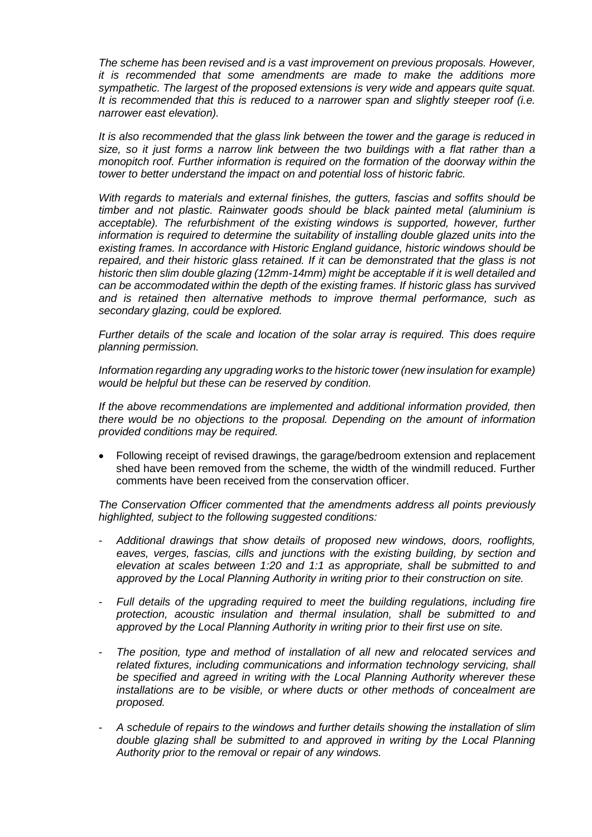*The scheme has been revised and is a vast improvement on previous proposals. However, it is recommended that some amendments are made to make the additions more sympathetic. The largest of the proposed extensions is very wide and appears quite squat. It is recommended that this is reduced to a narrower span and slightly steeper roof (i.e. narrower east elevation).* 

*It is also recommended that the glass link between the tower and the garage is reduced in size, so it just forms a narrow link between the two buildings with a flat rather than a monopitch roof. Further information is required on the formation of the doorway within the tower to better understand the impact on and potential loss of historic fabric.* 

*With regards to materials and external finishes, the gutters, fascias and soffits should be timber and not plastic. Rainwater goods should be black painted metal (aluminium is acceptable). The refurbishment of the existing windows is supported, however, further information is required to determine the suitability of installing double glazed units into the existing frames. In accordance with Historic England guidance, historic windows should be repaired, and their historic glass retained. If it can be demonstrated that the glass is not historic then slim double glazing (12mm-14mm) might be acceptable if it is well detailed and can be accommodated within the depth of the existing frames. If historic glass has survived and is retained then alternative methods to improve thermal performance, such as secondary glazing, could be explored.* 

*Further details of the scale and location of the solar array is required. This does require planning permission.* 

*Information regarding any upgrading works to the historic tower (new insulation for example) would be helpful but these can be reserved by condition.* 

*If the above recommendations are implemented and additional information provided, then there would be no objections to the proposal. Depending on the amount of information provided conditions may be required.*

• Following receipt of revised drawings, the garage/bedroom extension and replacement shed have been removed from the scheme, the width of the windmill reduced. Further comments have been received from the conservation officer.

*The Conservation Officer commented that the amendments address all points previously highlighted, subject to the following suggested conditions:* 

- *Additional drawings that show details of proposed new windows, doors, rooflights, eaves, verges, fascias, cills and junctions with the existing building, by section and elevation at scales between 1:20 and 1:1 as appropriate, shall be submitted to and approved by the Local Planning Authority in writing prior to their construction on site.*
- *Full details of the upgrading required to meet the building regulations, including fire protection, acoustic insulation and thermal insulation, shall be submitted to and approved by the Local Planning Authority in writing prior to their first use on site.*
- *The position, type and method of installation of all new and relocated services and related fixtures, including communications and information technology servicing, shall be specified and agreed in writing with the Local Planning Authority wherever these installations are to be visible, or where ducts or other methods of concealment are proposed.*
- *A schedule of repairs to the windows and further details showing the installation of slim double glazing shall be submitted to and approved in writing by the Local Planning Authority prior to the removal or repair of any windows.*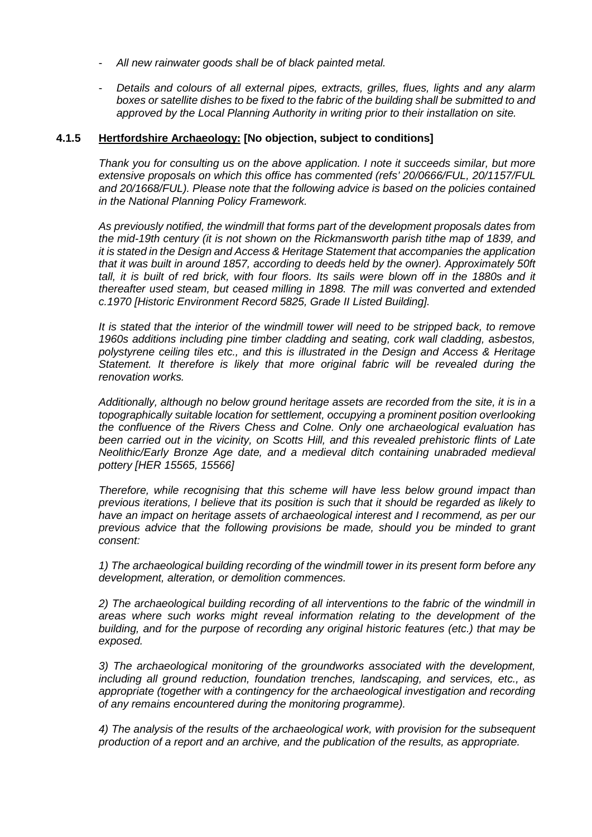- *All new rainwater goods shall be of black painted metal.*
- *Details and colours of all external pipes, extracts, grilles, flues, lights and any alarm boxes or satellite dishes to be fixed to the fabric of the building shall be submitted to and approved by the Local Planning Authority in writing prior to their installation on site.*

## **4.1.5 Hertfordshire Archaeology: [No objection, subject to conditions]**

*Thank you for consulting us on the above application. I note it succeeds similar, but more extensive proposals on which this office has commented (refs' 20/0666/FUL, 20/1157/FUL and 20/1668/FUL). Please note that the following advice is based on the policies contained in the National Planning Policy Framework.* 

*As previously notified, the windmill that forms part of the development proposals dates from the mid-19th century (it is not shown on the Rickmansworth parish tithe map of 1839, and it is stated in the Design and Access & Heritage Statement that accompanies the application that it was built in around 1857, according to deeds held by the owner). Approximately 50ft*  tall, it is built of red brick, with four floors. Its sails were blown off in the 1880s and it *thereafter used steam, but ceased milling in 1898. The mill was converted and extended c.1970 [Historic Environment Record 5825, Grade II Listed Building].* 

*It is stated that the interior of the windmill tower will need to be stripped back, to remove 1960s additions including pine timber cladding and seating, cork wall cladding, asbestos, polystyrene ceiling tiles etc., and this is illustrated in the Design and Access & Heritage Statement. It therefore is likely that more original fabric will be revealed during the renovation works.* 

*Additionally, although no below ground heritage assets are recorded from the site, it is in a topographically suitable location for settlement, occupying a prominent position overlooking the confluence of the Rivers Chess and Colne. Only one archaeological evaluation has been carried out in the vicinity, on Scotts Hill, and this revealed prehistoric flints of Late Neolithic/Early Bronze Age date, and a medieval ditch containing unabraded medieval pottery [HER 15565, 15566]* 

*Therefore, while recognising that this scheme will have less below ground impact than previous iterations, I believe that its position is such that it should be regarded as likely to have an impact on heritage assets of archaeological interest and I recommend, as per our previous advice that the following provisions be made, should you be minded to grant consent:* 

*1) The archaeological building recording of the windmill tower in its present form before any development, alteration, or demolition commences.* 

*2) The archaeological building recording of all interventions to the fabric of the windmill in areas where such works might reveal information relating to the development of the building, and for the purpose of recording any original historic features (etc.) that may be exposed.* 

*3) The archaeological monitoring of the groundworks associated with the development, including all ground reduction, foundation trenches, landscaping, and services, etc., as appropriate (together with a contingency for the archaeological investigation and recording of any remains encountered during the monitoring programme).* 

*4) The analysis of the results of the archaeological work, with provision for the subsequent production of a report and an archive, and the publication of the results, as appropriate.*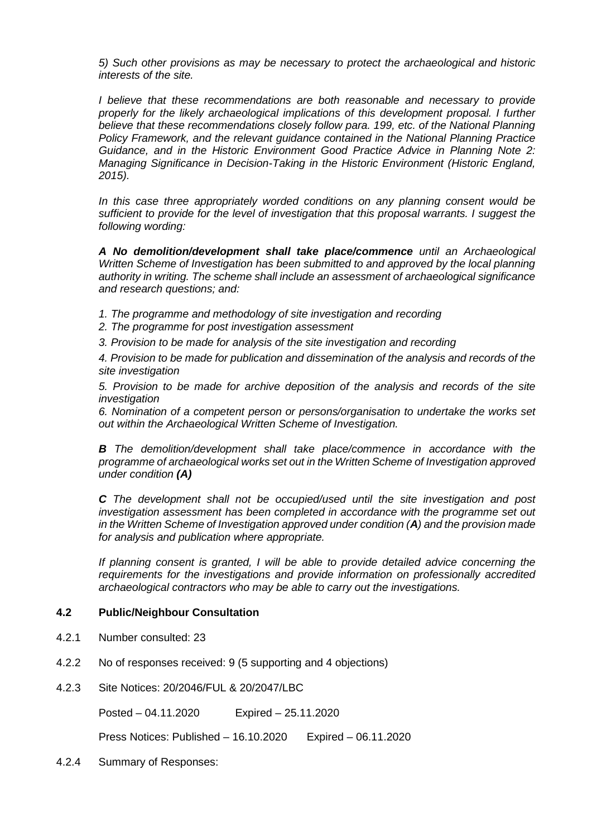*5) Such other provisions as may be necessary to protect the archaeological and historic interests of the site.* 

*I believe that these recommendations are both reasonable and necessary to provide properly for the likely archaeological implications of this development proposal. I further believe that these recommendations closely follow para. 199, etc. of the National Planning Policy Framework, and the relevant guidance contained in the National Planning Practice Guidance, and in the Historic Environment Good Practice Advice in Planning Note 2: Managing Significance in Decision-Taking in the Historic Environment (Historic England, 2015).* 

*In this case three appropriately worded conditions on any planning consent would be sufficient to provide for the level of investigation that this proposal warrants. I suggest the following wording:* 

*A No demolition/development shall take place/commence until an Archaeological Written Scheme of Investigation has been submitted to and approved by the local planning authority in writing. The scheme shall include an assessment of archaeological significance and research questions; and:* 

- *1. The programme and methodology of site investigation and recording*
- *2. The programme for post investigation assessment*
- *3. Provision to be made for analysis of the site investigation and recording*

*4. Provision to be made for publication and dissemination of the analysis and records of the site investigation* 

*5. Provision to be made for archive deposition of the analysis and records of the site investigation* 

*6. Nomination of a competent person or persons/organisation to undertake the works set out within the Archaeological Written Scheme of Investigation.* 

**B** The demolition/development shall take place/commence in accordance with the *programme of archaeological works set out in the Written Scheme of Investigation approved under condition (A)* 

*C The development shall not be occupied/used until the site investigation and post investigation assessment has been completed in accordance with the programme set out in the Written Scheme of Investigation approved under condition (A) and the provision made for analysis and publication where appropriate.* 

*If planning consent is granted, I will be able to provide detailed advice concerning the requirements for the investigations and provide information on professionally accredited archaeological contractors who may be able to carry out the investigations.*

#### **4.2 Public/Neighbour Consultation**

- 4.2.1 Number consulted: 23
- 4.2.2 No of responses received: 9 (5 supporting and 4 objections)
- 4.2.3 Site Notices: 20/2046/FUL & 20/2047/LBC

Posted – 04.11.2020 Expired – 25.11.2020

Press Notices: Published – 16.10.2020 Expired – 06.11.2020

4.2.4 Summary of Responses: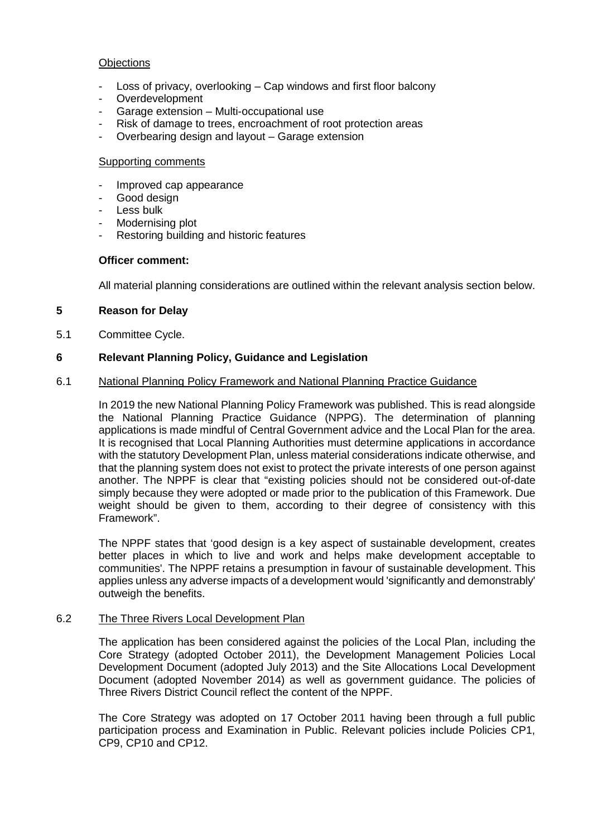## **Objections**

- Loss of privacy, overlooking  $-$  Cap windows and first floor balcony
- Overdevelopment
- Garage extension Multi-occupational use
- Risk of damage to trees, encroachment of root protection areas
- Overbearing design and layout Garage extension

#### Supporting comments

- Improved cap appearance
- Good design
- Less bulk
- Modernising plot
- Restoring building and historic features

#### **Officer comment:**

All material planning considerations are outlined within the relevant analysis section below.

## **5 Reason for Delay**

5.1 Committee Cycle.

### **6 Relevant Planning Policy, Guidance and Legislation**

#### 6.1 National Planning Policy Framework and National Planning Practice Guidance

In 2019 the new National Planning Policy Framework was published. This is read alongside the National Planning Practice Guidance (NPPG). The determination of planning applications is made mindful of Central Government advice and the Local Plan for the area. It is recognised that Local Planning Authorities must determine applications in accordance with the statutory Development Plan, unless material considerations indicate otherwise, and that the planning system does not exist to protect the private interests of one person against another. The NPPF is clear that "existing policies should not be considered out-of-date simply because they were adopted or made prior to the publication of this Framework. Due weight should be given to them, according to their degree of consistency with this Framework".

The NPPF states that 'good design is a key aspect of sustainable development, creates better places in which to live and work and helps make development acceptable to communities'. The NPPF retains a presumption in favour of sustainable development. This applies unless any adverse impacts of a development would 'significantly and demonstrably' outweigh the benefits.

## 6.2 The Three Rivers Local Development Plan

The application has been considered against the policies of the Local Plan, including the Core Strategy (adopted October 2011), the Development Management Policies Local Development Document (adopted July 2013) and the Site Allocations Local Development Document (adopted November 2014) as well as government guidance. The policies of Three Rivers District Council reflect the content of the NPPF.

The Core Strategy was adopted on 17 October 2011 having been through a full public participation process and Examination in Public. Relevant policies include Policies CP1, CP9, CP10 and CP12.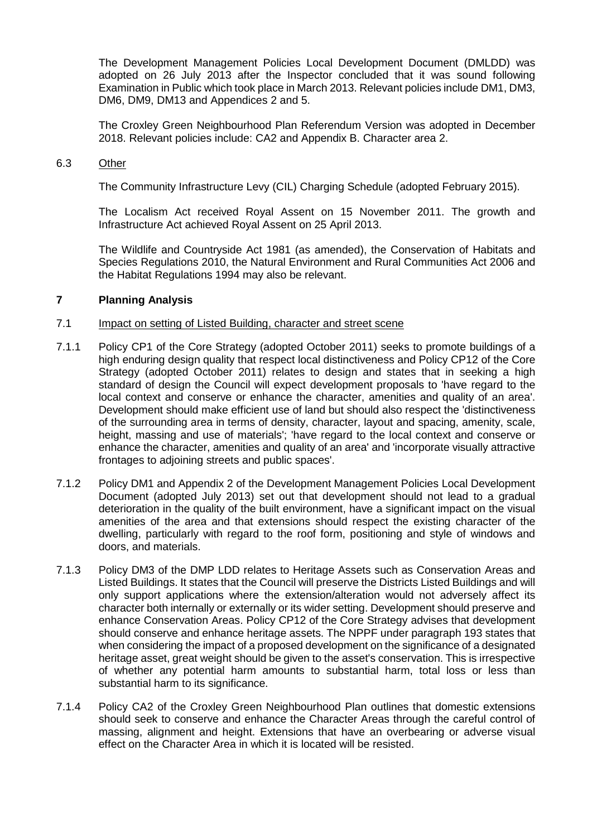The Development Management Policies Local Development Document (DMLDD) was adopted on 26 July 2013 after the Inspector concluded that it was sound following Examination in Public which took place in March 2013. Relevant policies include DM1, DM3, DM6, DM9, DM13 and Appendices 2 and 5.

The Croxley Green Neighbourhood Plan Referendum Version was adopted in December 2018. Relevant policies include: CA2 and Appendix B. Character area 2.

#### 6.3 Other

The Community Infrastructure Levy (CIL) Charging Schedule (adopted February 2015).

The Localism Act received Royal Assent on 15 November 2011. The growth and Infrastructure Act achieved Royal Assent on 25 April 2013.

The Wildlife and Countryside Act 1981 (as amended), the Conservation of Habitats and Species Regulations 2010, the Natural Environment and Rural Communities Act 2006 and the Habitat Regulations 1994 may also be relevant.

### **7 Planning Analysis**

### 7.1 Impact on setting of Listed Building, character and street scene

- 7.1.1 Policy CP1 of the Core Strategy (adopted October 2011) seeks to promote buildings of a high enduring design quality that respect local distinctiveness and Policy CP12 of the Core Strategy (adopted October 2011) relates to design and states that in seeking a high standard of design the Council will expect development proposals to 'have regard to the local context and conserve or enhance the character, amenities and quality of an area'. Development should make efficient use of land but should also respect the 'distinctiveness of the surrounding area in terms of density, character, layout and spacing, amenity, scale, height, massing and use of materials'; 'have regard to the local context and conserve or enhance the character, amenities and quality of an area' and 'incorporate visually attractive frontages to adjoining streets and public spaces'.
- 7.1.2 Policy DM1 and Appendix 2 of the Development Management Policies Local Development Document (adopted July 2013) set out that development should not lead to a gradual deterioration in the quality of the built environment, have a significant impact on the visual amenities of the area and that extensions should respect the existing character of the dwelling, particularly with regard to the roof form, positioning and style of windows and doors, and materials.
- 7.1.3 Policy DM3 of the DMP LDD relates to Heritage Assets such as Conservation Areas and Listed Buildings. It states that the Council will preserve the Districts Listed Buildings and will only support applications where the extension/alteration would not adversely affect its character both internally or externally or its wider setting. Development should preserve and enhance Conservation Areas. Policy CP12 of the Core Strategy advises that development should conserve and enhance heritage assets. The NPPF under paragraph 193 states that when considering the impact of a proposed development on the significance of a designated heritage asset, great weight should be given to the asset's conservation. This is irrespective of whether any potential harm amounts to substantial harm, total loss or less than substantial harm to its significance.
- 7.1.4 Policy CA2 of the Croxley Green Neighbourhood Plan outlines that domestic extensions should seek to conserve and enhance the Character Areas through the careful control of massing, alignment and height. Extensions that have an overbearing or adverse visual effect on the Character Area in which it is located will be resisted.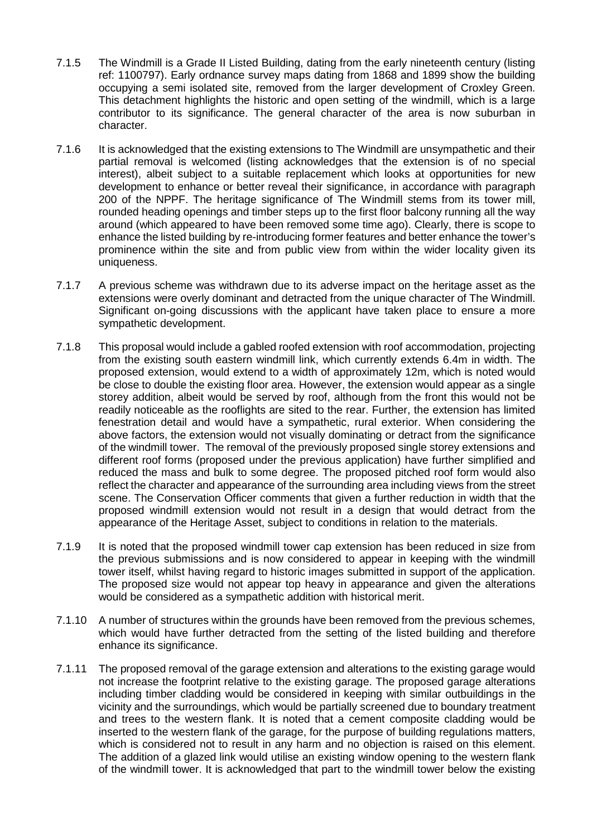- 7.1.5 The Windmill is a Grade II Listed Building, dating from the early nineteenth century (listing ref: 1100797). Early ordnance survey maps dating from 1868 and 1899 show the building occupying a semi isolated site, removed from the larger development of Croxley Green. This detachment highlights the historic and open setting of the windmill, which is a large contributor to its significance. The general character of the area is now suburban in character.
- 7.1.6 It is acknowledged that the existing extensions to The Windmill are unsympathetic and their partial removal is welcomed (listing acknowledges that the extension is of no special interest), albeit subject to a suitable replacement which looks at opportunities for new development to enhance or better reveal their significance, in accordance with paragraph 200 of the NPPF. The heritage significance of The Windmill stems from its tower mill, rounded heading openings and timber steps up to the first floor balcony running all the way around (which appeared to have been removed some time ago). Clearly, there is scope to enhance the listed building by re-introducing former features and better enhance the tower's prominence within the site and from public view from within the wider locality given its uniqueness.
- 7.1.7 A previous scheme was withdrawn due to its adverse impact on the heritage asset as the extensions were overly dominant and detracted from the unique character of The Windmill. Significant on-going discussions with the applicant have taken place to ensure a more sympathetic development.
- 7.1.8 This proposal would include a gabled roofed extension with roof accommodation, projecting from the existing south eastern windmill link, which currently extends 6.4m in width. The proposed extension, would extend to a width of approximately 12m, which is noted would be close to double the existing floor area. However, the extension would appear as a single storey addition, albeit would be served by roof, although from the front this would not be readily noticeable as the rooflights are sited to the rear. Further, the extension has limited fenestration detail and would have a sympathetic, rural exterior. When considering the above factors, the extension would not visually dominating or detract from the significance of the windmill tower. The removal of the previously proposed single storey extensions and different roof forms (proposed under the previous application) have further simplified and reduced the mass and bulk to some degree. The proposed pitched roof form would also reflect the character and appearance of the surrounding area including views from the street scene. The Conservation Officer comments that given a further reduction in width that the proposed windmill extension would not result in a design that would detract from the appearance of the Heritage Asset, subject to conditions in relation to the materials.
- 7.1.9 It is noted that the proposed windmill tower cap extension has been reduced in size from the previous submissions and is now considered to appear in keeping with the windmill tower itself, whilst having regard to historic images submitted in support of the application. The proposed size would not appear top heavy in appearance and given the alterations would be considered as a sympathetic addition with historical merit.
- 7.1.10 A number of structures within the grounds have been removed from the previous schemes, which would have further detracted from the setting of the listed building and therefore enhance its significance.
- 7.1.11 The proposed removal of the garage extension and alterations to the existing garage would not increase the footprint relative to the existing garage. The proposed garage alterations including timber cladding would be considered in keeping with similar outbuildings in the vicinity and the surroundings, which would be partially screened due to boundary treatment and trees to the western flank. It is noted that a cement composite cladding would be inserted to the western flank of the garage, for the purpose of building regulations matters, which is considered not to result in any harm and no objection is raised on this element. The addition of a glazed link would utilise an existing window opening to the western flank of the windmill tower. It is acknowledged that part to the windmill tower below the existing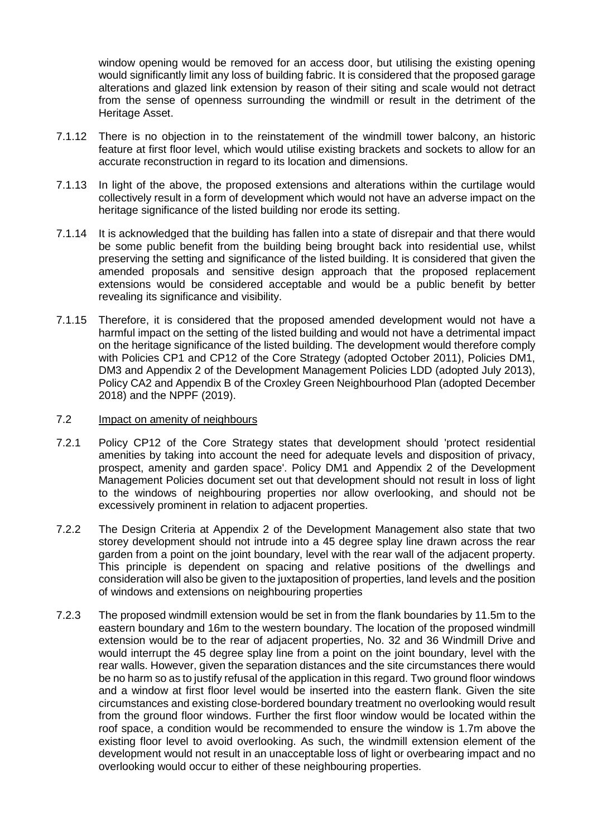window opening would be removed for an access door, but utilising the existing opening would significantly limit any loss of building fabric. It is considered that the proposed garage alterations and glazed link extension by reason of their siting and scale would not detract from the sense of openness surrounding the windmill or result in the detriment of the Heritage Asset.

- 7.1.12 There is no objection in to the reinstatement of the windmill tower balcony, an historic feature at first floor level, which would utilise existing brackets and sockets to allow for an accurate reconstruction in regard to its location and dimensions.
- 7.1.13 In light of the above, the proposed extensions and alterations within the curtilage would collectively result in a form of development which would not have an adverse impact on the heritage significance of the listed building nor erode its setting.
- 7.1.14 It is acknowledged that the building has fallen into a state of disrepair and that there would be some public benefit from the building being brought back into residential use, whilst preserving the setting and significance of the listed building. It is considered that given the amended proposals and sensitive design approach that the proposed replacement extensions would be considered acceptable and would be a public benefit by better revealing its significance and visibility.
- 7.1.15 Therefore, it is considered that the proposed amended development would not have a harmful impact on the setting of the listed building and would not have a detrimental impact on the heritage significance of the listed building. The development would therefore comply with Policies CP1 and CP12 of the Core Strategy (adopted October 2011), Policies DM1, DM3 and Appendix 2 of the Development Management Policies LDD (adopted July 2013), Policy CA2 and Appendix B of the Croxley Green Neighbourhood Plan (adopted December 2018) and the NPPF (2019).
- 7.2 Impact on amenity of neighbours
- 7.2.1 Policy CP12 of the Core Strategy states that development should 'protect residential amenities by taking into account the need for adequate levels and disposition of privacy, prospect, amenity and garden space'. Policy DM1 and Appendix 2 of the Development Management Policies document set out that development should not result in loss of light to the windows of neighbouring properties nor allow overlooking, and should not be excessively prominent in relation to adjacent properties.
- 7.2.2 The Design Criteria at Appendix 2 of the Development Management also state that two storey development should not intrude into a 45 degree splay line drawn across the rear garden from a point on the joint boundary, level with the rear wall of the adjacent property. This principle is dependent on spacing and relative positions of the dwellings and consideration will also be given to the juxtaposition of properties, land levels and the position of windows and extensions on neighbouring properties
- 7.2.3 The proposed windmill extension would be set in from the flank boundaries by 11.5m to the eastern boundary and 16m to the western boundary. The location of the proposed windmill extension would be to the rear of adjacent properties, No. 32 and 36 Windmill Drive and would interrupt the 45 degree splay line from a point on the joint boundary, level with the rear walls. However, given the separation distances and the site circumstances there would be no harm so as to justify refusal of the application in this regard. Two ground floor windows and a window at first floor level would be inserted into the eastern flank. Given the site circumstances and existing close-bordered boundary treatment no overlooking would result from the ground floor windows. Further the first floor window would be located within the roof space, a condition would be recommended to ensure the window is 1.7m above the existing floor level to avoid overlooking. As such, the windmill extension element of the development would not result in an unacceptable loss of light or overbearing impact and no overlooking would occur to either of these neighbouring properties.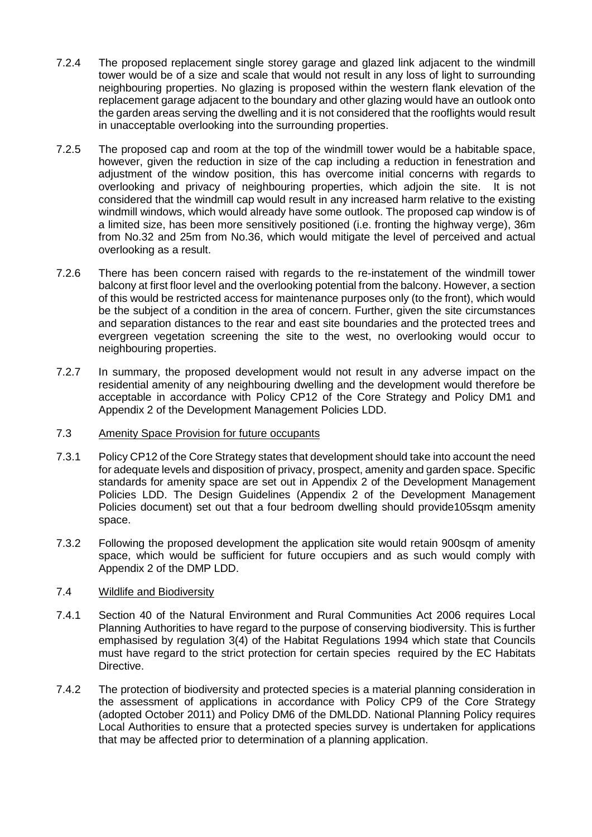- 7.2.4 The proposed replacement single storey garage and glazed link adjacent to the windmill tower would be of a size and scale that would not result in any loss of light to surrounding neighbouring properties. No glazing is proposed within the western flank elevation of the replacement garage adjacent to the boundary and other glazing would have an outlook onto the garden areas serving the dwelling and it is not considered that the rooflights would result in unacceptable overlooking into the surrounding properties.
- 7.2.5 The proposed cap and room at the top of the windmill tower would be a habitable space, however, given the reduction in size of the cap including a reduction in fenestration and adjustment of the window position, this has overcome initial concerns with regards to overlooking and privacy of neighbouring properties, which adjoin the site. It is not considered that the windmill cap would result in any increased harm relative to the existing windmill windows, which would already have some outlook. The proposed cap window is of a limited size, has been more sensitively positioned (i.e. fronting the highway verge), 36m from No.32 and 25m from No.36, which would mitigate the level of perceived and actual overlooking as a result.
- 7.2.6 There has been concern raised with regards to the re-instatement of the windmill tower balcony at first floor level and the overlooking potential from the balcony. However, a section of this would be restricted access for maintenance purposes only (to the front), which would be the subject of a condition in the area of concern. Further, given the site circumstances and separation distances to the rear and east site boundaries and the protected trees and evergreen vegetation screening the site to the west, no overlooking would occur to neighbouring properties.
- 7.2.7 In summary, the proposed development would not result in any adverse impact on the residential amenity of any neighbouring dwelling and the development would therefore be acceptable in accordance with Policy CP12 of the Core Strategy and Policy DM1 and Appendix 2 of the Development Management Policies LDD.

## 7.3 Amenity Space Provision for future occupants

- 7.3.1 Policy CP12 of the Core Strategy states that development should take into account the need for adequate levels and disposition of privacy, prospect, amenity and garden space. Specific standards for amenity space are set out in Appendix 2 of the Development Management Policies LDD. The Design Guidelines (Appendix 2 of the Development Management Policies document) set out that a four bedroom dwelling should provide105sqm amenity space.
- 7.3.2 Following the proposed development the application site would retain 900sqm of amenity space, which would be sufficient for future occupiers and as such would comply with Appendix 2 of the DMP LDD.

## 7.4 Wildlife and Biodiversity

- 7.4.1 Section 40 of the Natural Environment and Rural Communities Act 2006 requires Local Planning Authorities to have regard to the purpose of conserving biodiversity. This is further emphasised by regulation 3(4) of the Habitat Regulations 1994 which state that Councils must have regard to the strict protection for certain species required by the EC Habitats Directive.
- 7.4.2 The protection of biodiversity and protected species is a material planning consideration in the assessment of applications in accordance with Policy CP9 of the Core Strategy (adopted October 2011) and Policy DM6 of the DMLDD. National Planning Policy requires Local Authorities to ensure that a protected species survey is undertaken for applications that may be affected prior to determination of a planning application.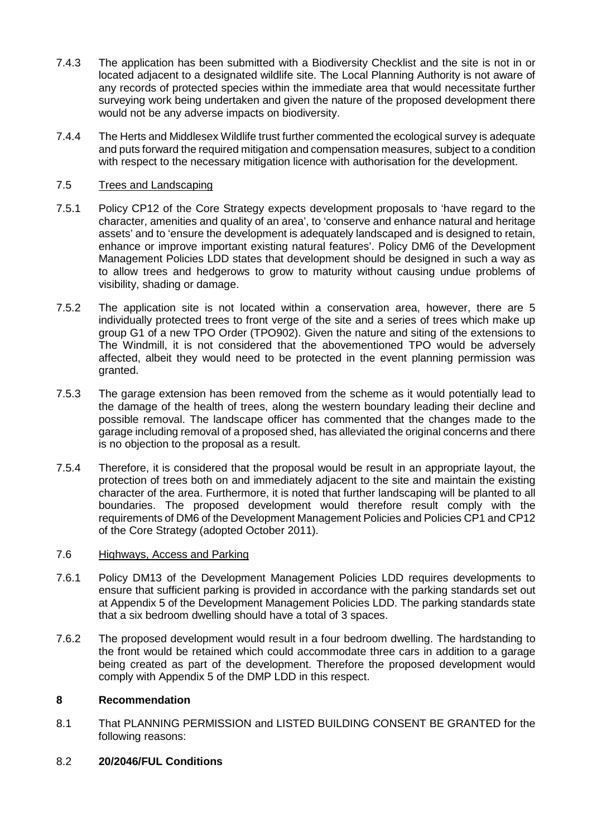- 7.4.3 The application has been submitted with a Biodiversity Checklist and the site is not in or located adjacent to a designated wildlife site. The Local Planning Authority is not aware of any records of protected species within the immediate area that would necessitate further surveying work being undertaken and given the nature of the proposed development there would not be any adverse impacts on biodiversity.
- 7.4.4 The Herts and Middlesex Wildlife trust further commented the ecological survey is adequate and puts forward the required mitigation and compensation measures, subject to a condition with respect to the necessary mitigation licence with authorisation for the development.

# 7.5 Trees and Landscaping

- 7.5.1 Policy CP12 of the Core Strategy expects development proposals to 'have regard to the character, amenities and quality of an area', to 'conserve and enhance natural and heritage assets' and to 'ensure the development is adequately landscaped and is designed to retain, enhance or improve important existing natural features'. Policy DM6 of the Development Management Policies LDD states that development should be designed in such a way as to allow trees and hedgerows to grow to maturity without causing undue problems of visibility, shading or damage.
- 7.5.2 The application site is not located within a conservation area, however, there are 5 individually protected trees to front verge of the site and a series of trees which make up group G1 of a new TPO Order (TPO902). Given the nature and siting of the extensions to The Windmill, it is not considered that the abovementioned TPO would be adversely affected, albeit they would need to be protected in the event planning permission was granted.
- 7.5.3 The garage extension has been removed from the scheme as it would potentially lead to the damage of the health of trees, along the western boundary leading their decline and possible removal. The landscape officer has commented that the changes made to the garage including removal of a proposed shed, has alleviated the original concerns and there is no objection to the proposal as a result.
- 7.5.4 Therefore, it is considered that the proposal would be result in an appropriate layout, the protection of trees both on and immediately adjacent to the site and maintain the existing character of the area. Furthermore, it is noted that further landscaping will be planted to all boundaries. The proposed development would therefore result comply with the requirements of DM6 of the Development Management Policies and Policies CP1 and CP12 of the Core Strategy (adopted October 2011).

## 7.6 Highways, Access and Parking

- 7.6.1 Policy DM13 of the Development Management Policies LDD requires developments to ensure that sufficient parking is provided in accordance with the parking standards set out at Appendix 5 of the Development Management Policies LDD. The parking standards state that a six bedroom dwelling should have a total of 3 spaces.
- 7.6.2 The proposed development would result in a four bedroom dwelling. The hardstanding to the front would be retained which could accommodate three cars in addition to a garage being created as part of the development. Therefore the proposed development would comply with Appendix 5 of the DMP LDD in this respect.

## **8 Recommendation**

8.1 That PLANNING PERMISSION and LISTED BUILDING CONSENT BE GRANTED for the following reasons:

## 8.2 **20/2046/FUL Conditions**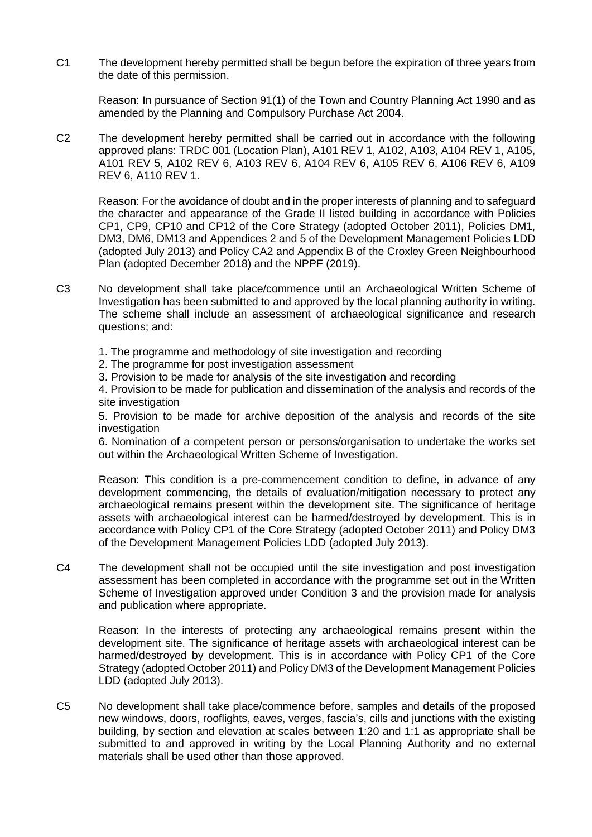C1 The development hereby permitted shall be begun before the expiration of three years from the date of this permission.

Reason: In pursuance of Section 91(1) of the Town and Country Planning Act 1990 and as amended by the Planning and Compulsory Purchase Act 2004.

C2 The development hereby permitted shall be carried out in accordance with the following approved plans: TRDC 001 (Location Plan), A101 REV 1, A102, A103, A104 REV 1, A105, A101 REV 5, A102 REV 6, A103 REV 6, A104 REV 6, A105 REV 6, A106 REV 6, A109 REV 6, A110 REV 1.

Reason: For the avoidance of doubt and in the proper interests of planning and to safeguard the character and appearance of the Grade II listed building in accordance with Policies CP1, CP9, CP10 and CP12 of the Core Strategy (adopted October 2011), Policies DM1, DM3, DM6, DM13 and Appendices 2 and 5 of the Development Management Policies LDD (adopted July 2013) and Policy CA2 and Appendix B of the Croxley Green Neighbourhood Plan (adopted December 2018) and the NPPF (2019).

- C3 No development shall take place/commence until an Archaeological Written Scheme of Investigation has been submitted to and approved by the local planning authority in writing. The scheme shall include an assessment of archaeological significance and research questions; and:
	- 1. The programme and methodology of site investigation and recording
	- 2. The programme for post investigation assessment
	- 3. Provision to be made for analysis of the site investigation and recording

4. Provision to be made for publication and dissemination of the analysis and records of the site investigation

5. Provision to be made for archive deposition of the analysis and records of the site investigation

6. Nomination of a competent person or persons/organisation to undertake the works set out within the Archaeological Written Scheme of Investigation.

Reason: This condition is a pre-commencement condition to define, in advance of any development commencing, the details of evaluation/mitigation necessary to protect any archaeological remains present within the development site. The significance of heritage assets with archaeological interest can be harmed/destroyed by development. This is in accordance with Policy CP1 of the Core Strategy (adopted October 2011) and Policy DM3 of the Development Management Policies LDD (adopted July 2013).

C4 The development shall not be occupied until the site investigation and post investigation assessment has been completed in accordance with the programme set out in the Written Scheme of Investigation approved under Condition 3 and the provision made for analysis and publication where appropriate.

Reason: In the interests of protecting any archaeological remains present within the development site. The significance of heritage assets with archaeological interest can be harmed/destroyed by development. This is in accordance with Policy CP1 of the Core Strategy (adopted October 2011) and Policy DM3 of the Development Management Policies LDD (adopted July 2013).

C5 No development shall take place/commence before, samples and details of the proposed new windows, doors, rooflights, eaves, verges, fascia's, cills and junctions with the existing building, by section and elevation at scales between 1:20 and 1:1 as appropriate shall be submitted to and approved in writing by the Local Planning Authority and no external materials shall be used other than those approved.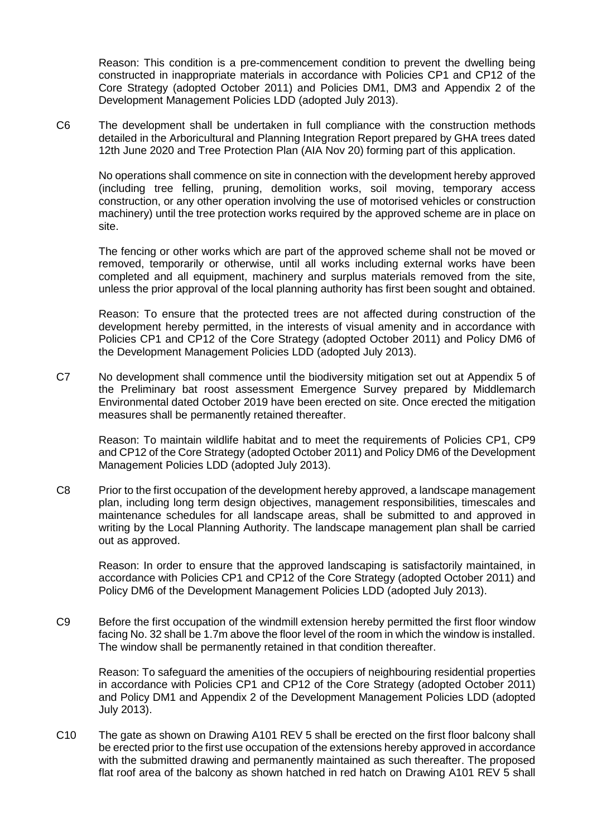Reason: This condition is a pre-commencement condition to prevent the dwelling being constructed in inappropriate materials in accordance with Policies CP1 and CP12 of the Core Strategy (adopted October 2011) and Policies DM1, DM3 and Appendix 2 of the Development Management Policies LDD (adopted July 2013).

C6 The development shall be undertaken in full compliance with the construction methods detailed in the Arboricultural and Planning Integration Report prepared by GHA trees dated 12th June 2020 and Tree Protection Plan (AIA Nov 20) forming part of this application.

No operations shall commence on site in connection with the development hereby approved (including tree felling, pruning, demolition works, soil moving, temporary access construction, or any other operation involving the use of motorised vehicles or construction machinery) until the tree protection works required by the approved scheme are in place on site.

The fencing or other works which are part of the approved scheme shall not be moved or removed, temporarily or otherwise, until all works including external works have been completed and all equipment, machinery and surplus materials removed from the site, unless the prior approval of the local planning authority has first been sought and obtained.

Reason: To ensure that the protected trees are not affected during construction of the development hereby permitted, in the interests of visual amenity and in accordance with Policies CP1 and CP12 of the Core Strategy (adopted October 2011) and Policy DM6 of the Development Management Policies LDD (adopted July 2013).

C7 No development shall commence until the biodiversity mitigation set out at Appendix 5 of the Preliminary bat roost assessment Emergence Survey prepared by Middlemarch Environmental dated October 2019 have been erected on site. Once erected the mitigation measures shall be permanently retained thereafter.

Reason: To maintain wildlife habitat and to meet the requirements of Policies CP1, CP9 and CP12 of the Core Strategy (adopted October 2011) and Policy DM6 of the Development Management Policies LDD (adopted July 2013).

C8 Prior to the first occupation of the development hereby approved, a landscape management plan, including long term design objectives, management responsibilities, timescales and maintenance schedules for all landscape areas, shall be submitted to and approved in writing by the Local Planning Authority. The landscape management plan shall be carried out as approved.

Reason: In order to ensure that the approved landscaping is satisfactorily maintained, in accordance with Policies CP1 and CP12 of the Core Strategy (adopted October 2011) and Policy DM6 of the Development Management Policies LDD (adopted July 2013).

C9 Before the first occupation of the windmill extension hereby permitted the first floor window facing No. 32 shall be 1.7m above the floor level of the room in which the window is installed. The window shall be permanently retained in that condition thereafter.

Reason: To safeguard the amenities of the occupiers of neighbouring residential properties in accordance with Policies CP1 and CP12 of the Core Strategy (adopted October 2011) and Policy DM1 and Appendix 2 of the Development Management Policies LDD (adopted July 2013).

C10 The gate as shown on Drawing A101 REV 5 shall be erected on the first floor balcony shall be erected prior to the first use occupation of the extensions hereby approved in accordance with the submitted drawing and permanently maintained as such thereafter. The proposed flat roof area of the balcony as shown hatched in red hatch on Drawing A101 REV 5 shall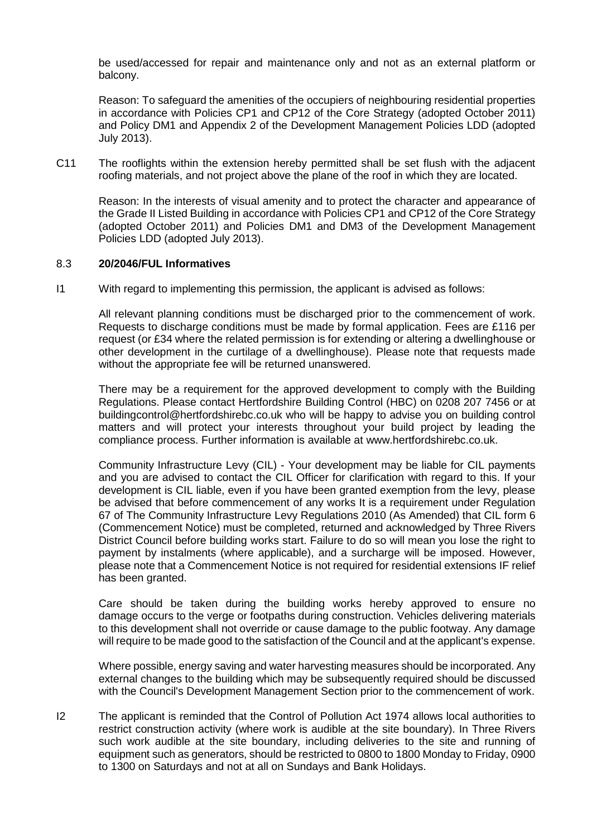be used/accessed for repair and maintenance only and not as an external platform or balcony.

Reason: To safeguard the amenities of the occupiers of neighbouring residential properties in accordance with Policies CP1 and CP12 of the Core Strategy (adopted October 2011) and Policy DM1 and Appendix 2 of the Development Management Policies LDD (adopted July 2013).

C11 The rooflights within the extension hereby permitted shall be set flush with the adjacent roofing materials, and not project above the plane of the roof in which they are located.

Reason: In the interests of visual amenity and to protect the character and appearance of the Grade II Listed Building in accordance with Policies CP1 and CP12 of the Core Strategy (adopted October 2011) and Policies DM1 and DM3 of the Development Management Policies LDD (adopted July 2013).

### 8.3 **20/2046/FUL Informatives**

I1 With regard to implementing this permission, the applicant is advised as follows:

All relevant planning conditions must be discharged prior to the commencement of work. Requests to discharge conditions must be made by formal application. Fees are £116 per request (or £34 where the related permission is for extending or altering a dwellinghouse or other development in the curtilage of a dwellinghouse). Please note that requests made without the appropriate fee will be returned unanswered.

There may be a requirement for the approved development to comply with the Building Regulations. Please contact Hertfordshire Building Control (HBC) on 0208 207 7456 or at buildingcontrol@hertfordshirebc.co.uk who will be happy to advise you on building control matters and will protect your interests throughout your build project by leading the compliance process. Further information is available at www.hertfordshirebc.co.uk.

Community Infrastructure Levy (CIL) - Your development may be liable for CIL payments and you are advised to contact the CIL Officer for clarification with regard to this. If your development is CIL liable, even if you have been granted exemption from the levy, please be advised that before commencement of any works It is a requirement under Regulation 67 of The Community Infrastructure Levy Regulations 2010 (As Amended) that CIL form 6 (Commencement Notice) must be completed, returned and acknowledged by Three Rivers District Council before building works start. Failure to do so will mean you lose the right to payment by instalments (where applicable), and a surcharge will be imposed. However, please note that a Commencement Notice is not required for residential extensions IF relief has been granted.

Care should be taken during the building works hereby approved to ensure no damage occurs to the verge or footpaths during construction. Vehicles delivering materials to this development shall not override or cause damage to the public footway. Any damage will require to be made good to the satisfaction of the Council and at the applicant's expense.

Where possible, energy saving and water harvesting measures should be incorporated. Any external changes to the building which may be subsequently required should be discussed with the Council's Development Management Section prior to the commencement of work.

I2 The applicant is reminded that the Control of Pollution Act 1974 allows local authorities to restrict construction activity (where work is audible at the site boundary). In Three Rivers such work audible at the site boundary, including deliveries to the site and running of equipment such as generators, should be restricted to 0800 to 1800 Monday to Friday, 0900 to 1300 on Saturdays and not at all on Sundays and Bank Holidays.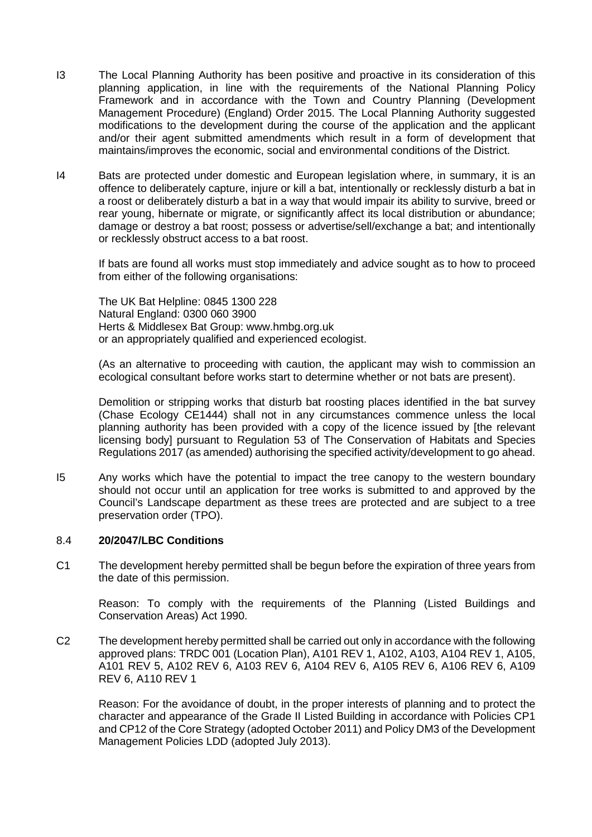- I3 The Local Planning Authority has been positive and proactive in its consideration of this planning application, in line with the requirements of the National Planning Policy Framework and in accordance with the Town and Country Planning (Development Management Procedure) (England) Order 2015. The Local Planning Authority suggested modifications to the development during the course of the application and the applicant and/or their agent submitted amendments which result in a form of development that maintains/improves the economic, social and environmental conditions of the District.
- I4 Bats are protected under domestic and European legislation where, in summary, it is an offence to deliberately capture, injure or kill a bat, intentionally or recklessly disturb a bat in a roost or deliberately disturb a bat in a way that would impair its ability to survive, breed or rear young, hibernate or migrate, or significantly affect its local distribution or abundance; damage or destroy a bat roost; possess or advertise/sell/exchange a bat; and intentionally or recklessly obstruct access to a bat roost.

If bats are found all works must stop immediately and advice sought as to how to proceed from either of the following organisations:

The UK Bat Helpline: 0845 1300 228 Natural England: 0300 060 3900 Herts & Middlesex Bat Group: www.hmbg.org.uk or an appropriately qualified and experienced ecologist.

(As an alternative to proceeding with caution, the applicant may wish to commission an ecological consultant before works start to determine whether or not bats are present).

Demolition or stripping works that disturb bat roosting places identified in the bat survey (Chase Ecology CE1444) shall not in any circumstances commence unless the local planning authority has been provided with a copy of the licence issued by [the relevant licensing body] pursuant to Regulation 53 of The Conservation of Habitats and Species Regulations 2017 (as amended) authorising the specified activity/development to go ahead.

I5 Any works which have the potential to impact the tree canopy to the western boundary should not occur until an application for tree works is submitted to and approved by the Council's Landscape department as these trees are protected and are subject to a tree preservation order (TPO).

### 8.4 **20/2047/LBC Conditions**

C1 The development hereby permitted shall be begun before the expiration of three years from the date of this permission.

Reason: To comply with the requirements of the Planning (Listed Buildings and Conservation Areas) Act 1990.

C2 The development hereby permitted shall be carried out only in accordance with the following approved plans: TRDC 001 (Location Plan), A101 REV 1, A102, A103, A104 REV 1, A105, A101 REV 5, A102 REV 6, A103 REV 6, A104 REV 6, A105 REV 6, A106 REV 6, A109 REV 6, A110 REV 1

Reason: For the avoidance of doubt, in the proper interests of planning and to protect the character and appearance of the Grade II Listed Building in accordance with Policies CP1 and CP12 of the Core Strategy (adopted October 2011) and Policy DM3 of the Development Management Policies LDD (adopted July 2013).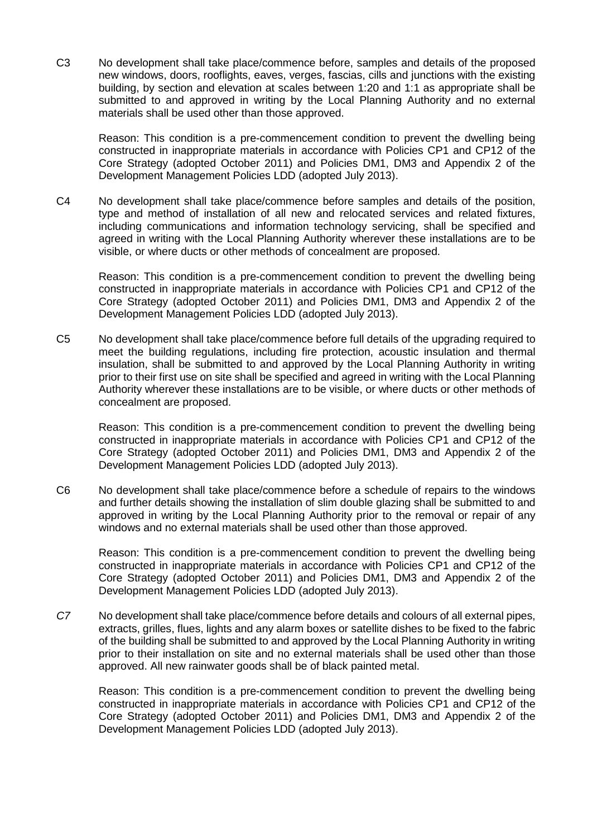C3 No development shall take place/commence before, samples and details of the proposed new windows, doors, rooflights, eaves, verges, fascias, cills and junctions with the existing building, by section and elevation at scales between 1:20 and 1:1 as appropriate shall be submitted to and approved in writing by the Local Planning Authority and no external materials shall be used other than those approved.

Reason: This condition is a pre-commencement condition to prevent the dwelling being constructed in inappropriate materials in accordance with Policies CP1 and CP12 of the Core Strategy (adopted October 2011) and Policies DM1, DM3 and Appendix 2 of the Development Management Policies LDD (adopted July 2013).

C4 No development shall take place/commence before samples and details of the position, type and method of installation of all new and relocated services and related fixtures, including communications and information technology servicing, shall be specified and agreed in writing with the Local Planning Authority wherever these installations are to be visible, or where ducts or other methods of concealment are proposed.

Reason: This condition is a pre-commencement condition to prevent the dwelling being constructed in inappropriate materials in accordance with Policies CP1 and CP12 of the Core Strategy (adopted October 2011) and Policies DM1, DM3 and Appendix 2 of the Development Management Policies LDD (adopted July 2013).

C5 No development shall take place/commence before full details of the upgrading required to meet the building regulations, including fire protection, acoustic insulation and thermal insulation, shall be submitted to and approved by the Local Planning Authority in writing prior to their first use on site shall be specified and agreed in writing with the Local Planning Authority wherever these installations are to be visible, or where ducts or other methods of concealment are proposed.

Reason: This condition is a pre-commencement condition to prevent the dwelling being constructed in inappropriate materials in accordance with Policies CP1 and CP12 of the Core Strategy (adopted October 2011) and Policies DM1, DM3 and Appendix 2 of the Development Management Policies LDD (adopted July 2013).

C6 No development shall take place/commence before a schedule of repairs to the windows and further details showing the installation of slim double glazing shall be submitted to and approved in writing by the Local Planning Authority prior to the removal or repair of any windows and no external materials shall be used other than those approved.

Reason: This condition is a pre-commencement condition to prevent the dwelling being constructed in inappropriate materials in accordance with Policies CP1 and CP12 of the Core Strategy (adopted October 2011) and Policies DM1, DM3 and Appendix 2 of the Development Management Policies LDD (adopted July 2013).

*C7* No development shall take place/commence before details and colours of all external pipes, extracts, grilles, flues, lights and any alarm boxes or satellite dishes to be fixed to the fabric of the building shall be submitted to and approved by the Local Planning Authority in writing prior to their installation on site and no external materials shall be used other than those approved. All new rainwater goods shall be of black painted metal.

Reason: This condition is a pre-commencement condition to prevent the dwelling being constructed in inappropriate materials in accordance with Policies CP1 and CP12 of the Core Strategy (adopted October 2011) and Policies DM1, DM3 and Appendix 2 of the Development Management Policies LDD (adopted July 2013).